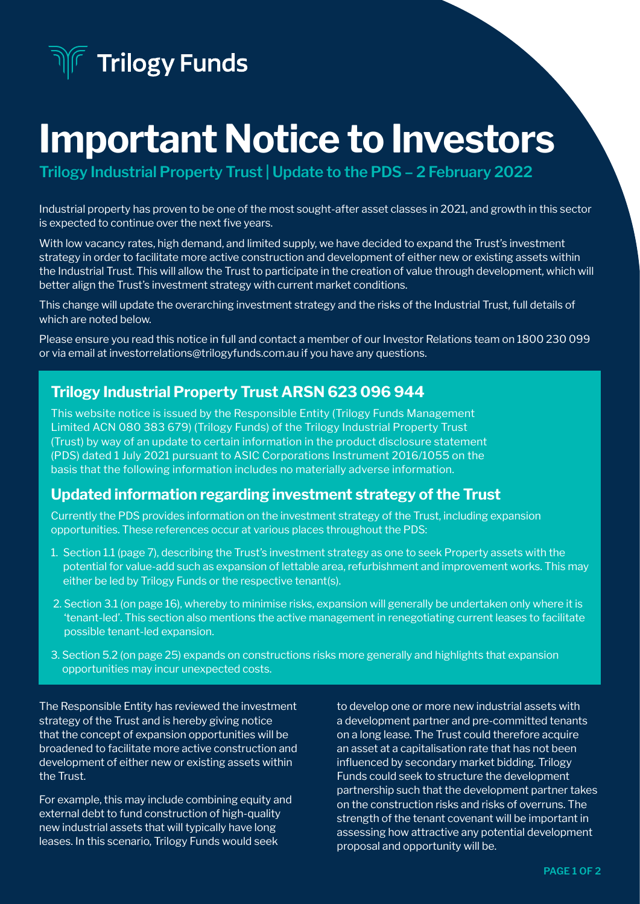**Trilogy Funds** 

# Important Notice to Investors

**Trilogy Industrial Property Trust | Update to the PDS – 2 February 2022**

Industrial property has proven to be one of the most sought-after asset classes in 2021, and growth in this sector is expected to continue over the next five years.

With low vacancy rates, high demand, and limited supply, we have decided to expand the Trust's investment strategy in order to facilitate more active construction and development of either new or existing assets within the Industrial Trust. This will allow the Trust to participate in the creation of value through development, which will better align the Trust's investment strategy with current market conditions.

This change will update the overarching investment strategy and the risks of the Industrial Trust, full details of which are noted below.

Please ensure you read this notice in full and contact a member of our Investor Relations team on 1800 230 099 or via email at investorrelations@trilogyfunds.com.au if you have any questions.

#### Trilogy Industrial Property Trust ARSN 623 096 944

This website notice is issued by the Responsible Entity (Trilogy Funds Management Limited ACN 080 383 679) (Trilogy Funds) of the Trilogy Industrial Property Trust (Trust) by way of an update to certain information in the product disclosure statement (PDS) dated 1 July 2021 pursuant to ASIC Corporations Instrument 2016/1055 on the basis that the following information includes no materially adverse information.

#### Updated information regarding investment strategy of the Trust

Currently the PDS provides information on the investment strategy of the Trust, including expansion opportunities. These references occur at various places throughout the PDS:

- 1. Section 1.1 (page 7), describing the Trust's investment strategy as one to seek Property assets with the potential for value-add such as expansion of lettable area, refurbishment and improvement works. This may either be led by Trilogy Funds or the respective tenant(s).
- 2. Section 3.1 (on page 16), whereby to minimise risks, expansion will generally be undertaken only where it is 'tenant-led'. This section also mentions the active management in renegotiating current leases to facilitate possible tenant-led expansion.
- 3. Section 5.2 (on page 25) expands on constructions risks more generally and highlights that expansion opportunities may incur unexpected costs.

The Responsible Entity has reviewed the investment strategy of the Trust and is hereby giving notice that the concept of expansion opportunities will be broadened to facilitate more active construction and development of either new or existing assets within the Trust.

For example, this may include combining equity and external debt to fund construction of high-quality new industrial assets that will typically have long leases. In this scenario, Trilogy Funds would seek

to develop one or more new industrial assets with a development partner and pre-committed tenants on a long lease. The Trust could therefore acquire an asset at a capitalisation rate that has not been influenced by secondary market bidding. Trilogy Funds could seek to structure the development partnership such that the development partner takes on the construction risks and risks of overruns. The strength of the tenant covenant will be important in assessing how attractive any potential development proposal and opportunity will be.